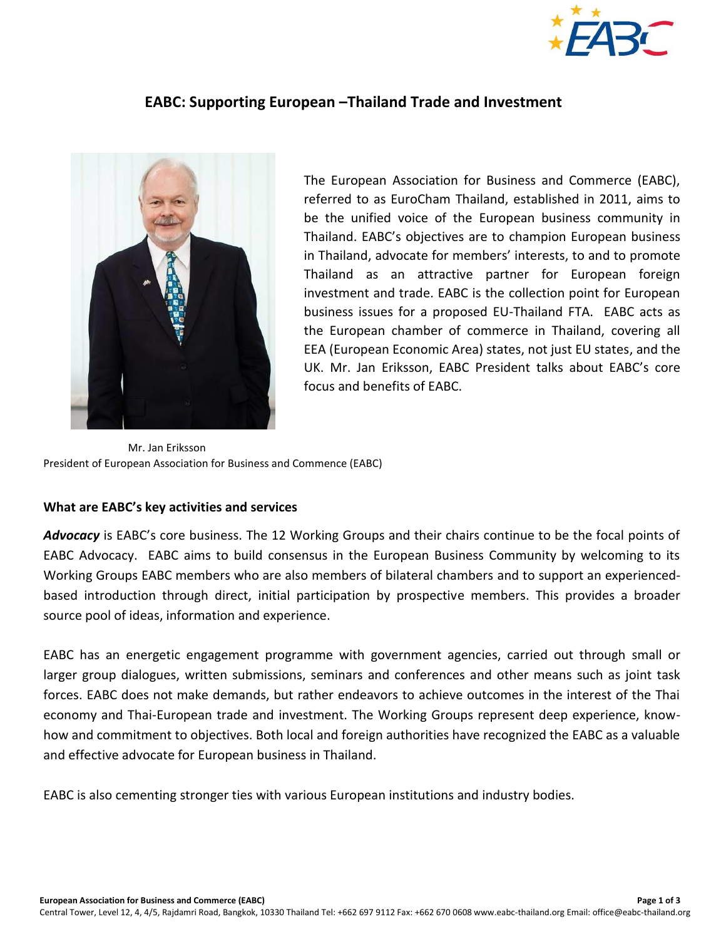

## **EABC: Supporting European –Thailand Trade and Investment**



The European Association for Business and Commerce (EABC), referred to as EuroCham Thailand, established in 2011, aims to be the unified voice of the European business community in Thailand. EABC's objectives are to champion European business in Thailand, advocate for members' interests, to and to promote Thailand as an attractive partner for European foreign investment and trade. EABC is the collection point for European business issues for a proposed EU-Thailand FTA. EABC acts as the European chamber of commerce in Thailand, covering all EEA (European Economic Area) states, not just EU states, and the UK. Mr. Jan Eriksson, EABC President talks about EABC's core focus and benefits of EABC.

Mr. Jan Eriksson President of European Association for Business and Commence (EABC)

## **What are EABC's key activities and services**

*Advocacy* is EABC's core business. The 12 Working Groups and their chairs continue to be the focal points of EABC Advocacy. EABC aims to build consensus in the European Business Community by welcoming to its Working Groups EABC members who are also members of bilateral chambers and to support an experiencedbased introduction through direct, initial participation by prospective members. This provides a broader source pool of ideas, information and experience.

EABC has an energetic engagement programme with government agencies, carried out through small or larger group dialogues, written submissions, seminars and conferences and other means such as joint task forces. EABC does not make demands, but rather endeavors to achieve outcomes in the interest of the Thai economy and Thai-European trade and investment. The Working Groups represent deep experience, knowhow and commitment to objectives. Both local and foreign authorities have recognized the EABC as a valuable and effective advocate for European business in Thailand.

EABC is also cementing stronger ties with various European institutions and industry bodies.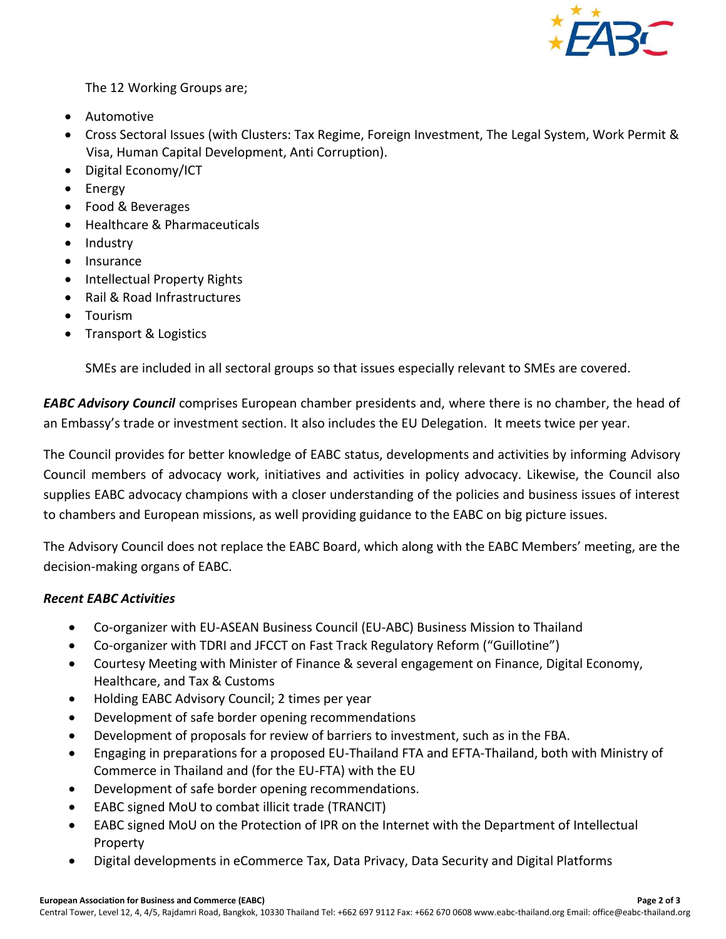

The 12 Working Groups are;

- Automotive
- Cross Sectoral Issues (with Clusters: Tax Regime, Foreign Investment, The Legal System, Work Permit & Visa, Human Capital Development, Anti Corruption).
- Digital Economy/ICT
- Energy
- Food & Beverages
- Healthcare & Pharmaceuticals
- Industry
- Insurance
- Intellectual Property Rights
- Rail & Road Infrastructures
- **•** Tourism
- Transport & Logistics

SMEs are included in all sectoral groups so that issues especially relevant to SMEs are covered.

*EABC Advisory Council* comprises European chamber presidents and, where there is no chamber, the head of an Embassy's trade or investment section. It also includes the EU Delegation. It meets twice per year.

The Council provides for better knowledge of EABC status, developments and activities by informing Advisory Council members of advocacy work, initiatives and activities in policy advocacy. Likewise, the Council also supplies EABC advocacy champions with a closer understanding of the policies and business issues of interest to chambers and European missions, as well providing guidance to the EABC on big picture issues.

The Advisory Council does not replace the EABC Board, which along with the EABC Members' meeting, are the decision-making organs of EABC.

## *Recent EABC Activities*

- Co-organizer with EU-ASEAN Business Council (EU-ABC) Business Mission to Thailand
- Co-organizer with TDRI and JFCCT on Fast Track Regulatory Reform ("Guillotine")
- Courtesy Meeting with Minister of Finance & several engagement on Finance, Digital Economy, Healthcare, and Tax & Customs
- Holding EABC Advisory Council; 2 times per year
- Development of safe border opening recommendations
- Development of proposals for review of barriers to investment, such as in the FBA.
- Engaging in preparations for a proposed EU-Thailand FTA and EFTA-Thailand, both with Ministry of Commerce in Thailand and (for the EU-FTA) with the EU
- Development of safe border opening recommendations.
- EABC signed MoU to combat illicit trade (TRANCIT)
- EABC signed MoU on the Protection of IPR on the Internet with the Department of Intellectual Property
- Digital developments in eCommerce Tax, Data Privacy, Data Security and Digital Platforms